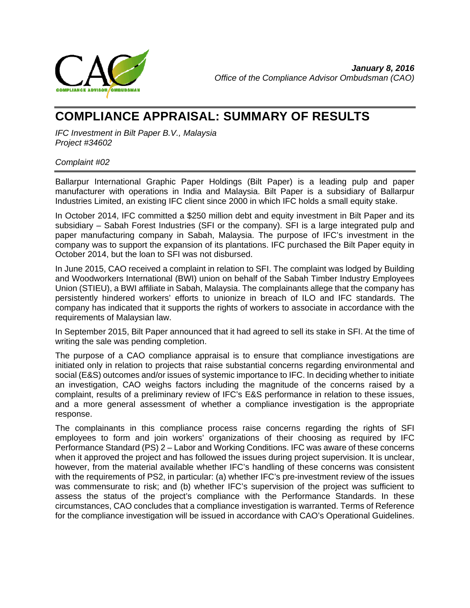

# **COMPLIANCE APPRAISAL: SUMMARY OF RESULTS**

*IFC Investment in Bilt Paper B.V., Malaysia Project #34602*

#### *Complaint #02*

Ballarpur International Graphic Paper Holdings (Bilt Paper) is a leading pulp and paper manufacturer with operations in India and Malaysia. Bilt Paper is a subsidiary of Ballarpur Industries Limited, an existing IFC client since 2000 in which IFC holds a small equity stake.

In October 2014, IFC committed a \$250 million debt and equity investment in Bilt Paper and its subsidiary – Sabah Forest Industries (SFI or the company). SFI is a large integrated pulp and paper manufacturing company in Sabah, Malaysia. The purpose of IFC's investment in the company was to support the expansion of its plantations. IFC purchased the Bilt Paper equity in October 2014, but the loan to SFI was not disbursed.

In June 2015, CAO received a complaint in relation to SFI. The complaint was lodged by Building and Woodworkers International (BWI) union on behalf of the Sabah Timber Industry Employees Union (STIEU), a BWI affiliate in Sabah, Malaysia. The complainants allege that the company has persistently hindered workers' efforts to unionize in breach of ILO and IFC standards. The company has indicated that it supports the rights of workers to associate in accordance with the requirements of Malaysian law.

In September 2015, Bilt Paper announced that it had agreed to sell its stake in SFI. At the time of writing the sale was pending completion.

The purpose of a CAO compliance appraisal is to ensure that compliance investigations are initiated only in relation to projects that raise substantial concerns regarding environmental and social (E&S) outcomes and/or issues of systemic importance to IFC. In deciding whether to initiate an investigation, CAO weighs factors including the magnitude of the concerns raised by a complaint, results of a preliminary review of IFC's E&S performance in relation to these issues, and a more general assessment of whether a compliance investigation is the appropriate response.

The complainants in this compliance process raise concerns regarding the rights of SFI employees to form and join workers' organizations of their choosing as required by IFC Performance Standard (PS) 2 – Labor and Working Conditions. IFC was aware of these concerns when it approved the project and has followed the issues during project supervision. It is unclear, however, from the material available whether IFC's handling of these concerns was consistent with the requirements of PS2, in particular: (a) whether IFC's pre-investment review of the issues was commensurate to risk; and (b) whether IFC's supervision of the project was sufficient to assess the status of the project's compliance with the Performance Standards. In these circumstances, CAO concludes that a compliance investigation is warranted. Terms of Reference for the compliance investigation will be issued in accordance with CAO's Operational Guidelines.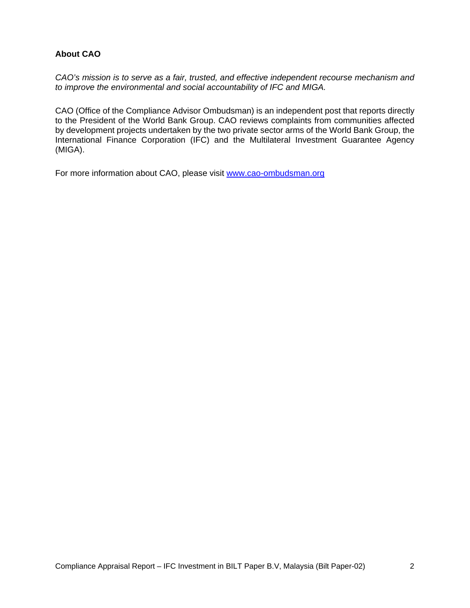## **About CAO**

*CAO's mission is to serve as a fair, trusted, and effective independent recourse mechanism and to improve the environmental and social accountability of IFC and MIGA.* 

CAO (Office of the Compliance Advisor Ombudsman) is an independent post that reports directly to the President of the World Bank Group. CAO reviews complaints from communities affected by development projects undertaken by the two private sector arms of the World Bank Group, the International Finance Corporation (IFC) and the Multilateral Investment Guarantee Agency (MIGA).

For more information about CAO, please visit www.cao-ombudsman.org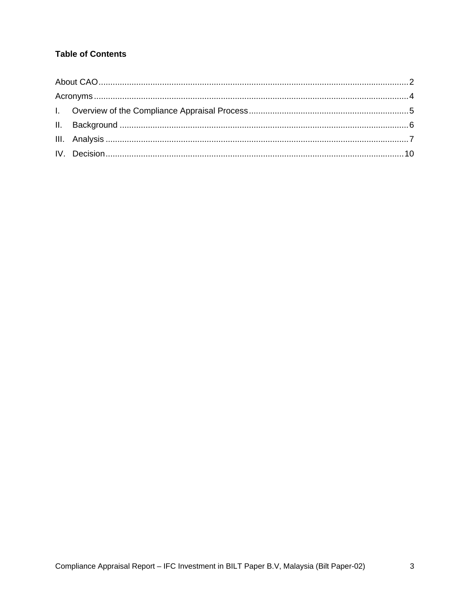# **Table of Contents**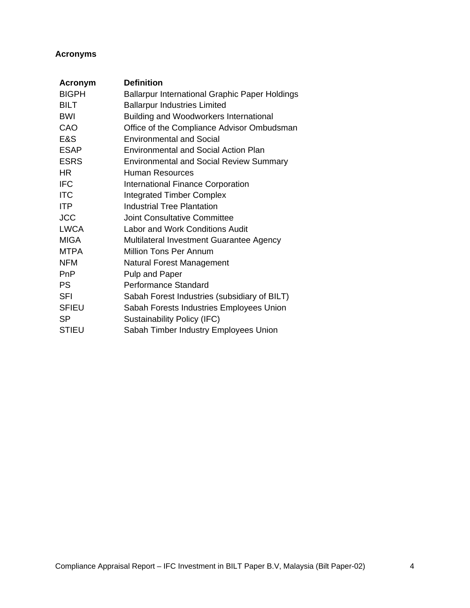# **Acronyms**

| <b>Acronym</b> | <b>Definition</b>                                     |
|----------------|-------------------------------------------------------|
| <b>BIGPH</b>   | <b>Ballarpur International Graphic Paper Holdings</b> |
| <b>BILT</b>    | <b>Ballarpur Industries Limited</b>                   |
| <b>BWI</b>     | <b>Building and Woodworkers International</b>         |
| CAO            | Office of the Compliance Advisor Ombudsman            |
| E&S            | <b>Environmental and Social</b>                       |
| <b>ESAP</b>    | <b>Environmental and Social Action Plan</b>           |
| <b>ESRS</b>    | <b>Environmental and Social Review Summary</b>        |
| <b>HR</b>      | Human Resources                                       |
| <b>IFC</b>     | <b>International Finance Corporation</b>              |
| <b>ITC</b>     | <b>Integrated Timber Complex</b>                      |
| <b>ITP</b>     | <b>Industrial Tree Plantation</b>                     |
| <b>JCC</b>     | Joint Consultative Committee                          |
| <b>LWCA</b>    | Labor and Work Conditions Audit                       |
| <b>MIGA</b>    | Multilateral Investment Guarantee Agency              |
| <b>MTPA</b>    | Million Tons Per Annum                                |
| <b>NFM</b>     | Natural Forest Management                             |
| PnP            | Pulp and Paper                                        |
| <b>PS</b>      | <b>Performance Standard</b>                           |
| <b>SFI</b>     | Sabah Forest Industries (subsidiary of BILT)          |
| <b>SFIEU</b>   | Sabah Forests Industries Employees Union              |
| <b>SP</b>      | Sustainability Policy (IFC)                           |
| <b>STIEU</b>   | Sabah Timber Industry Employees Union                 |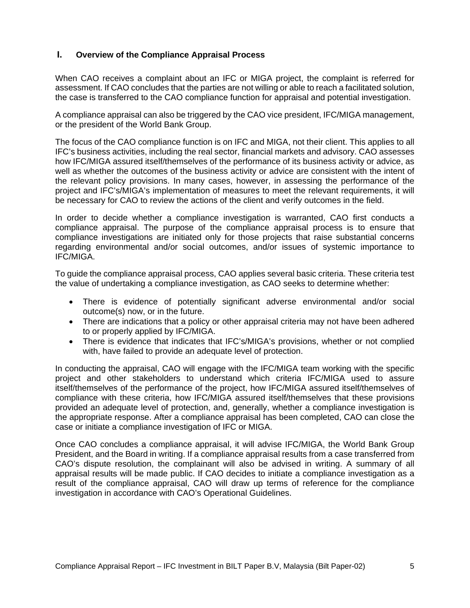## **I. Overview of the Compliance Appraisal Process**

When CAO receives a complaint about an IFC or MIGA project, the complaint is referred for assessment. If CAO concludes that the parties are not willing or able to reach a facilitated solution, the case is transferred to the CAO compliance function for appraisal and potential investigation.

A compliance appraisal can also be triggered by the CAO vice president, IFC/MIGA management, or the president of the World Bank Group.

The focus of the CAO compliance function is on IFC and MIGA, not their client. This applies to all IFC's business activities, including the real sector, financial markets and advisory. CAO assesses how IFC/MIGA assured itself/themselves of the performance of its business activity or advice, as well as whether the outcomes of the business activity or advice are consistent with the intent of the relevant policy provisions. In many cases, however, in assessing the performance of the project and IFC's/MIGA's implementation of measures to meet the relevant requirements, it will be necessary for CAO to review the actions of the client and verify outcomes in the field.

In order to decide whether a compliance investigation is warranted, CAO first conducts a compliance appraisal. The purpose of the compliance appraisal process is to ensure that compliance investigations are initiated only for those projects that raise substantial concerns regarding environmental and/or social outcomes, and/or issues of systemic importance to IFC/MIGA.

To guide the compliance appraisal process, CAO applies several basic criteria. These criteria test the value of undertaking a compliance investigation, as CAO seeks to determine whether:

- There is evidence of potentially significant adverse environmental and/or social outcome(s) now, or in the future.
- There are indications that a policy or other appraisal criteria may not have been adhered to or properly applied by IFC/MIGA.
- There is evidence that indicates that IFC's/MIGA's provisions, whether or not complied with, have failed to provide an adequate level of protection.

In conducting the appraisal, CAO will engage with the IFC/MIGA team working with the specific project and other stakeholders to understand which criteria IFC/MIGA used to assure itself/themselves of the performance of the project, how IFC/MIGA assured itself/themselves of compliance with these criteria, how IFC/MIGA assured itself/themselves that these provisions provided an adequate level of protection, and, generally, whether a compliance investigation is the appropriate response. After a compliance appraisal has been completed, CAO can close the case or initiate a compliance investigation of IFC or MIGA.

Once CAO concludes a compliance appraisal, it will advise IFC/MIGA, the World Bank Group President, and the Board in writing. If a compliance appraisal results from a case transferred from CAO's dispute resolution, the complainant will also be advised in writing. A summary of all appraisal results will be made public. If CAO decides to initiate a compliance investigation as a result of the compliance appraisal, CAO will draw up terms of reference for the compliance investigation in accordance with CAO's Operational Guidelines.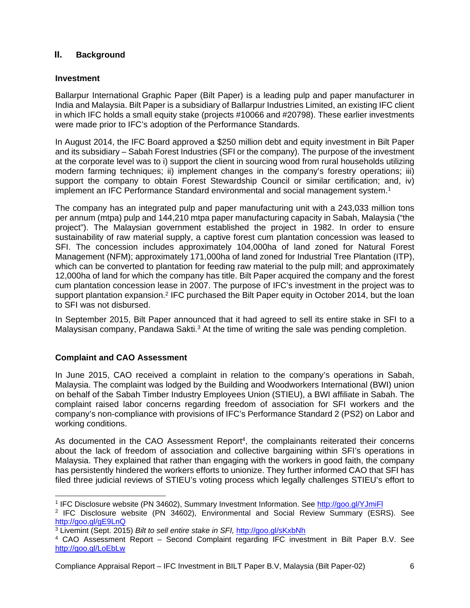## **II. Background**

#### **Investment**

Ballarpur International Graphic Paper (Bilt Paper) is a leading pulp and paper manufacturer in India and Malaysia. Bilt Paper is a subsidiary of Ballarpur Industries Limited, an existing IFC client in which IFC holds a small equity stake (projects #10066 and #20798). These earlier investments were made prior to IFC's adoption of the Performance Standards.

In August 2014, the IFC Board approved a \$250 million debt and equity investment in Bilt Paper and its subsidiary – Sabah Forest Industries (SFI or the company). The purpose of the investment at the corporate level was to i) support the client in sourcing wood from rural households utilizing modern farming techniques; ii) implement changes in the company's forestry operations; iii) support the company to obtain Forest Stewardship Council or similar certification; and, iv) implement an IFC Performance Standard environmental and social management system.<sup>1</sup>

The company has an integrated pulp and paper manufacturing unit with a 243,033 million tons per annum (mtpa) pulp and 144,210 mtpa paper manufacturing capacity in Sabah, Malaysia ("the project"). The Malaysian government established the project in 1982. In order to ensure sustainability of raw material supply, a captive forest cum plantation concession was leased to SFI. The concession includes approximately 104,000ha of land zoned for Natural Forest Management (NFM); approximately 171,000ha of land zoned for Industrial Tree Plantation (ITP), which can be converted to plantation for feeding raw material to the pulp mill; and approximately 12,000ha of land for which the company has title. Bilt Paper acquired the company and the forest cum plantation concession lease in 2007. The purpose of IFC's investment in the project was to support plantation expansion.2 IFC purchased the Bilt Paper equity in October 2014, but the loan to SFI was not disbursed.

In September 2015, Bilt Paper announced that it had agreed to sell its entire stake in SFI to a Malaysisan company, Pandawa Sakti.<sup>3</sup> At the time of writing the sale was pending completion.

#### **Complaint and CAO Assessment**

In June 2015, CAO received a complaint in relation to the company's operations in Sabah, Malaysia. The complaint was lodged by the Building and Woodworkers International (BWI) union on behalf of the Sabah Timber Industry Employees Union (STIEU), a BWI affiliate in Sabah. The complaint raised labor concerns regarding freedom of association for SFI workers and the company's non-compliance with provisions of IFC's Performance Standard 2 (PS2) on Labor and working conditions.

As documented in the CAO Assessment Report<sup>4</sup>, the complainants reiterated their concerns about the lack of freedom of association and collective bargaining within SFI's operations in Malaysia. They explained that rather than engaging with the workers in good faith, the company has persistently hindered the workers efforts to unionize. They further informed CAO that SFI has filed three judicial reviews of STIEU's voting process which legally challenges STIEU's effort to

 <sup>1</sup> IFC Disclosure website (PN 34602), Summary Investment Information. See http://goo.gl/YJmiFl 2 IFC Disclosure website (PN 34602), Environmental and Social Review Summary (ESRS). See

http://goo.gl/gE9LnQ<br><sup>3</sup> Livemint (Sept. 2015) *Bilt to sell entire stake in SFI, http://goo.gl/sKxbNh*<br><sup>4</sup> CAO Assessment Report – Second Complaint regarding IFC investment in Bilt Paper B.V. See

http://goo.gl/LoEbLw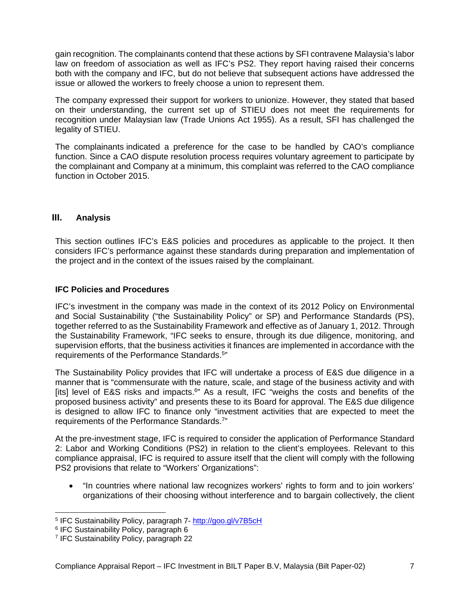gain recognition. The complainants contend that these actions by SFI contravene Malaysia's labor law on freedom of association as well as IFC's PS2. They report having raised their concerns both with the company and IFC, but do not believe that subsequent actions have addressed the issue or allowed the workers to freely choose a union to represent them.

The company expressed their support for workers to unionize. However, they stated that based on their understanding, the current set up of STIEU does not meet the requirements for recognition under Malaysian law (Trade Unions Act 1955). As a result, SFI has challenged the legality of STIEU.

The complainants indicated a preference for the case to be handled by CAO's compliance function. Since a CAO dispute resolution process requires voluntary agreement to participate by the complainant and Company at a minimum, this complaint was referred to the CAO compliance function in October 2015.

## **III. Analysis**

This section outlines IFC's E&S policies and procedures as applicable to the project. It then considers IFC's performance against these standards during preparation and implementation of the project and in the context of the issues raised by the complainant.

#### **IFC Policies and Procedures**

IFC's investment in the company was made in the context of its 2012 Policy on Environmental and Social Sustainability ("the Sustainability Policy" or SP) and Performance Standards (PS), together referred to as the Sustainability Framework and effective as of January 1, 2012. Through the Sustainability Framework, "IFC seeks to ensure, through its due diligence, monitoring, and supervision efforts, that the business activities it finances are implemented in accordance with the requirements of the Performance Standards.5"

The Sustainability Policy provides that IFC will undertake a process of E&S due diligence in a manner that is "commensurate with the nature, scale, and stage of the business activity and with [its] level of E&S risks and impacts.<sup>6"</sup> As a result, IFC "weighs the costs and benefits of the proposed business activity" and presents these to its Board for approval. The E&S due diligence is designed to allow IFC to finance only "investment activities that are expected to meet the requirements of the Performance Standards.7"

At the pre-investment stage, IFC is required to consider the application of Performance Standard 2: Labor and Working Conditions (PS2) in relation to the client's employees. Relevant to this compliance appraisal, IFC is required to assure itself that the client will comply with the following PS2 provisions that relate to "Workers' Organizations":

 "In countries where national law recognizes workers' rights to form and to join workers' organizations of their choosing without interference and to bargain collectively, the client

-

<sup>&</sup>lt;sup>5</sup> IFC Sustainability Policy, paragraph 7- http://goo.gl/v7B5cH<br><sup>6</sup> IFC Sustainability Policy, paragraph 6

<sup>7</sup> IFC Sustainability Policy, paragraph 22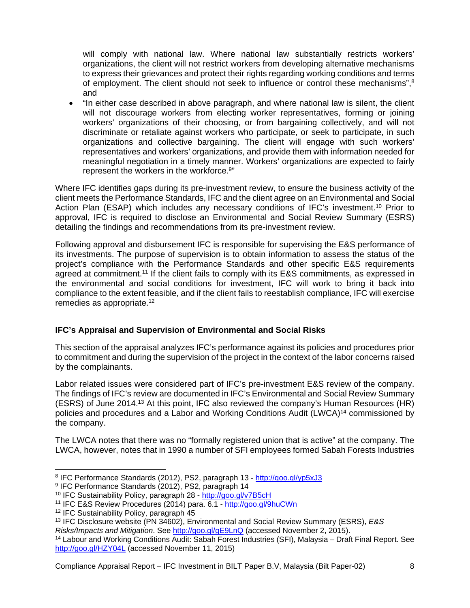will comply with national law. Where national law substantially restricts workers' organizations, the client will not restrict workers from developing alternative mechanisms to express their grievances and protect their rights regarding working conditions and terms of employment. The client should not seek to influence or control these mechanisms",<sup>8</sup> and

 "In either case described in above paragraph, and where national law is silent, the client will not discourage workers from electing worker representatives, forming or joining workers' organizations of their choosing, or from bargaining collectively, and will not discriminate or retaliate against workers who participate, or seek to participate, in such organizations and collective bargaining. The client will engage with such workers' representatives and workers' organizations, and provide them with information needed for meaningful negotiation in a timely manner. Workers' organizations are expected to fairly represent the workers in the workforce.<sup>9"</sup>

Where IFC identifies gaps during its pre-investment review, to ensure the business activity of the client meets the Performance Standards, IFC and the client agree on an Environmental and Social Action Plan (ESAP) which includes any necessary conditions of IFC's investment.<sup>10</sup> Prior to approval, IFC is required to disclose an Environmental and Social Review Summary (ESRS) detailing the findings and recommendations from its pre-investment review.

Following approval and disbursement IFC is responsible for supervising the E&S performance of its investments. The purpose of supervision is to obtain information to assess the status of the project's compliance with the Performance Standards and other specific E&S requirements agreed at commitment.11 If the client fails to comply with its E&S commitments, as expressed in the environmental and social conditions for investment, IFC will work to bring it back into compliance to the extent feasible, and if the client fails to reestablish compliance, IFC will exercise remedies as appropriate.12

## **IFC's Appraisal and Supervision of Environmental and Social Risks**

This section of the appraisal analyzes IFC's performance against its policies and procedures prior to commitment and during the supervision of the project in the context of the labor concerns raised by the complainants.

Labor related issues were considered part of IFC's pre-investment E&S review of the company. The findings of IFC's review are documented in IFC's Environmental and Social Review Summary (ESRS) of June 2014.13 At this point, IFC also reviewed the company's Human Resources (HR) policies and procedures and a Labor and Working Conditions Audit (LWCA)<sup>14</sup> commissioned by the company.

The LWCA notes that there was no "formally registered union that is active" at the company. The LWCA, however, notes that in 1990 a number of SFI employees formed Sabah Forests Industries

 <sup>8</sup> IFC Performance Standards (2012), PS2, paragraph 13 - http://goo.gl/yp5xJ3<br><sup>9</sup> IFC Performance Standards (2012), PS2, paragraph 14

<sup>&</sup>lt;sup>10</sup> IFC Sustainability Policy, paragraph 28 - http://goo.gl/v7B5cH

<sup>11</sup> IFC E&S Review Procedures (2014) para. 6.1 - http://goo.gl/9huCWn

<sup>12</sup> IFC Sustainability Policy, paragraph 45

<sup>13</sup> IFC Disclosure website (PN 34602), Environmental and Social Review Summary (ESRS), *E&S Risks/Impacts and Mitigation*. See http://goo.gl/gE9LnQ (accessed November 2, 2015).

<sup>14</sup> Labour and Working Conditions Audit: Sabah Forest Industries (SFI), Malaysia – Draft Final Report. See http://goo.gl/HZY04L (accessed November 11, 2015)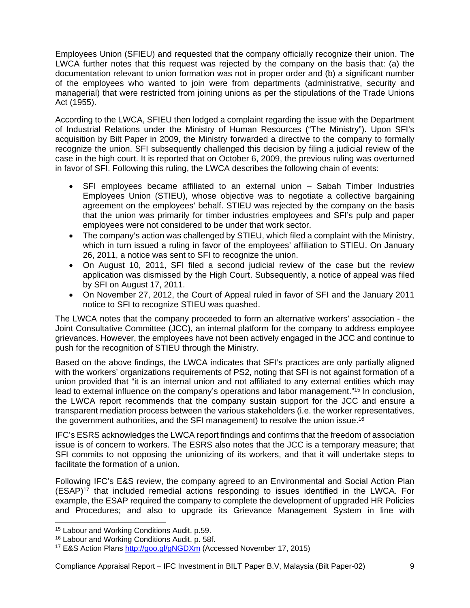Employees Union (SFIEU) and requested that the company officially recognize their union. The LWCA further notes that this request was rejected by the company on the basis that: (a) the documentation relevant to union formation was not in proper order and (b) a significant number of the employees who wanted to join were from departments (administrative, security and managerial) that were restricted from joining unions as per the stipulations of the Trade Unions Act (1955).

According to the LWCA, SFIEU then lodged a complaint regarding the issue with the Department of Industrial Relations under the Ministry of Human Resources ("The Ministry"). Upon SFI's acquisition by Bilt Paper in 2009, the Ministry forwarded a directive to the company to formally recognize the union. SFI subsequently challenged this decision by filing a judicial review of the case in the high court. It is reported that on October 6, 2009, the previous ruling was overturned in favor of SFI. Following this ruling, the LWCA describes the following chain of events:

- SFI employees became affiliated to an external union Sabah Timber Industries Employees Union (STIEU), whose objective was to negotiate a collective bargaining agreement on the employees' behalf. STIEU was rejected by the company on the basis that the union was primarily for timber industries employees and SFI's pulp and paper employees were not considered to be under that work sector.
- The company's action was challenged by STIEU, which filed a complaint with the Ministry, which in turn issued a ruling in favor of the employees' affiliation to STIEU. On January 26, 2011, a notice was sent to SFI to recognize the union.
- On August 10, 2011, SFI filed a second judicial review of the case but the review application was dismissed by the High Court. Subsequently, a notice of appeal was filed by SFI on August 17, 2011.
- On November 27, 2012, the Court of Appeal ruled in favor of SFI and the January 2011 notice to SFI to recognize STIEU was quashed.

The LWCA notes that the company proceeded to form an alternative workers' association - the Joint Consultative Committee (JCC), an internal platform for the company to address employee grievances. However, the employees have not been actively engaged in the JCC and continue to push for the recognition of STIEU through the Ministry.

Based on the above findings, the LWCA indicates that SFI's practices are only partially aligned with the workers' organizations requirements of PS2, noting that SFI is not against formation of a union provided that "it is an internal union and not affiliated to any external entities which may lead to external influence on the company's operations and labor management."<sup>15</sup> In conclusion, the LWCA report recommends that the company sustain support for the JCC and ensure a transparent mediation process between the various stakeholders (i.e. the worker representatives, the government authorities, and the SFI management) to resolve the union issue.16

IFC's ESRS acknowledges the LWCA report findings and confirms that the freedom of association issue is of concern to workers. The ESRS also notes that the JCC is a temporary measure; that SFI commits to not opposing the unionizing of its workers, and that it will undertake steps to facilitate the formation of a union.

Following IFC's E&S review, the company agreed to an Environmental and Social Action Plan  $(ESAP)^{17}$  that included remedial actions responding to issues identified in the LWCA. For example, the ESAP required the company to complete the development of upgraded HR Policies and Procedures; and also to upgrade its Grievance Management System in line with

 $\overline{a}$ 

<sup>15</sup> Labour and Working Conditions Audit. p.59.

<sup>&</sup>lt;sup>16</sup> Labour and Working Conditions Audit. p. 58f.

<sup>&</sup>lt;sup>17</sup> E&S Action Plans http://goo.gl/gNGDXm (Accessed November 17, 2015)